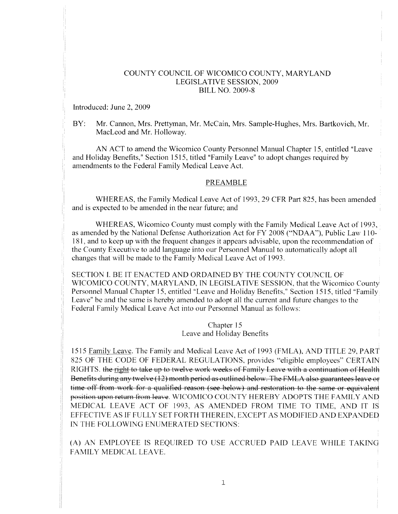## COUNTY COUNCIL OF WICOMICO COUNTY, MARYLAND LEGISLATIVE SESSION, 2009 BILL NO. 2009-8

Introduced: June 2, 2009

BY: Mr. Cannon, Mrs. Prettyman, Mr. McCain, Mrs. Sample-Hughes, Mrs. Bartkovich, Mr. MacLeod and Mr. Holloway.

AN ACT to amend the Wicomico County Personnel Manual Chapter 15, entitled "Leave and Holiday Benefits," Section 1515, titled "Family Leave" to adopt changes required by amendments to the Federal Family Medical Leave Act.

#### PREAMBLE

WHEREAS, the Family Medical Leave Act of 1993. 29 CFR Part 825, has been amended and is expected to be amended in the near future: and

WHEREAS, Wicomico County must comply with the Family Medical Leave Act of 1993, as amended by the National Defense Authorization Act for FY 2008 ("NDAA"). Public Law 110- 1 81. and to keep up with the frequent changes it appears advisable, upon the recommendation of the County Executive to add language into our Personnel Manual to automatically adopt all changes that will he made to the Family Medical Leave Act of 1993.

SECTION 1. BE IT ENACTED AND ORDAINED BY THE COUNTY COUNCIL OF WICOMICO COUNTY, MARYLAND, IN LEGISLATIVE SESSION, that the Wicomico County Personnel Manual Chapter 15, entitled "Leave and Holiday Benefits," Section 1515, titled "Family Leave" be and the same is hereby amended to adopt all the current and future changes to the Federal Family Medical Leave Act into our Personnel Manual as follows:

> Chapter 15 Leave and Holiday Benefits

1515 Family Leave. The Family and Medical Leave Act of 1993 (FMLA), AND TITLE 29, PART 825 OF THE CODE OF FEDERAL REGULATIONS, provides "eligible employees" CERTAIN RIGHTS. the right to take up to twelve work weeks of Family Leave with a continuation of Health Benefits during any twelve (12) month period as outlined below. The FMLA also guarantees leave or time off from work for <sup>a</sup> qualified reason (see below) and restoration to the same or equivalent position upon return from leave. WICOMICO COUNTY HEREBY ADOPTS THE FAMILY AND MEDICAL LEAVE ACT OF 1993, AS AMENDED FROM TIME TO TIME, AND IT IS EFFECTIVE AS IF FULLY SET FORTH THEREIN, EXCEPT AS MODIFIED AND EXPANDED IN THE FOLLOWING ENUMERATED SECTIONS:

(A) AN EMPLOYEE IS REQUIRED TO USE ACCRUED PAID LEAVE WHILE TAKING FAMILY MEDICAL LEAVE.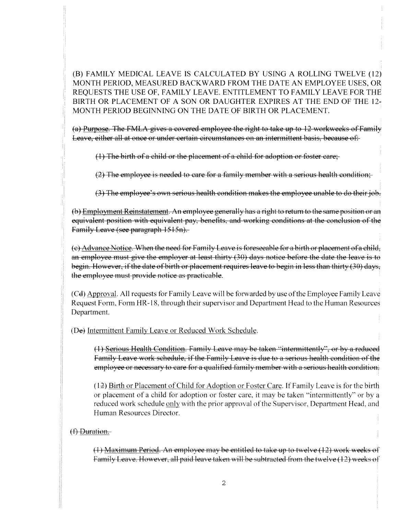(B) FAMILY MEDICAL LEAVE IS CALCULATED BY USING A ROLLING TWELVE (12) MONTH PERIOD, MEASURED BACKWARD FROM THE DATE AN EMPLOYEE USES, OR REQUESTS THE USE OF, FAMILY LEAVE. ENTITLEMENT TO FAMILY LEAVE FOR THE BIRTH OR PLACEMENT OF A SON OR DAUGHTER EXPIRES AT THE END OF THE 12- MONTH PERIOD BEGINNING ON THE DATE OF BIRTH OR PLACEMENT.

(a) Purpose. The FMLA gives <sup>a</sup> covered employee the right to take up to 12 workweeks of Family Leave, either all at once or under certain circumstances on an intermittent basis, because of:

(1) The birth of <sup>a</sup> child or the placement of <sup>a</sup> child for adoption or foster care;

(2) The employee is needed to care for <sup>a</sup> family member with <sup>a</sup> serious health condition;

(3) The employee's own serious health condition makes the employee unable to do theirjob.

(b) Employment Reinstatement. An employee generally has a right to return to the same position or an equivalent position with equivalent pay, benefits, and working conditions at the conclusion of the Family Leave (see paragraph 1515n).

(c) Advance Notice, When the need for Family Leave is foreseeable for <sup>a</sup> birth or placement of <sup>a</sup> child, an employee must give the employer at least thirty (30) days notice before the date the leave is to begin. However, if the date of birth or placement requires leave to begin in less than thirty (30) days, the employee must provide notice as practicable.

(Cd) Approval. All requests for Family Leave will be forwarded by use of the Employee Family Leave Request Form, Form HR-18, through their supervisor and Department Head to the Human Resources Department.

(De) Intermittent Family Leave or Reduced Work Schedule.

(1) Serious Health Condition. Family Leave may be taken "intermittently", or by a reduced Family Leave work schedule, if the Family Leave is due to a serious health condition of the employee or necessary to care for <sup>a</sup> qualified family member with <sup>a</sup> serious health condition.

(12) Birth or Placement of Child for Adoption or Foster Care. If Family Leave is for the birth or placement of <sup>a</sup> child for adoption or foster care, it may be taken "intermittently" or by <sup>a</sup> reduced work schedule only with the prior approval of the Supervisor, Department Head, and Human Resources Director.

# $(f)$  Duration.

(1) Maximum Period. An employee may be entitled to take up to twelve (12) work weeks of Family Leave. However, all paid leave taken will be subtracted from the twelve (12) weeks of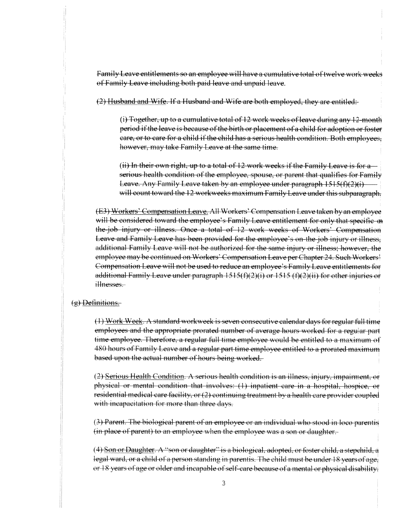Family Leave entitlements so an employee will have a cumulative total of twelve work weeks of Family Leave including both paid leave and unpaid leave.

(2) Husband and Wife. If <sup>a</sup> Husband and \Vife are both employed, they are entitled:

(i) Together, up to a cumulative total of 12 work weeks of leave during any 12-month period if the leave is because of the birth or placement of a child for adoption or foster care, or to care for <sup>a</sup> child if the child has <sup>a</sup> serious health condition. Both employees, however. may take Family Leave at the same time.

 $(ii)$  In their own right, up to a total of 12 work weeks if the Family Leave is for a serious health condition of the employee, spouse, or parent that qualifies for Family Leave. Any Family Leave taken by an employee under paragraph 1515(f)(2)(i) will count toward the 12 workweeks maximum Family Leave under this subparagraph.

(E3) Workers' Compensation Leave. All Workers' Compensation Leave taken by an employee will be considered toward the employee's Family Leave entitlement for only that specific-on the job injury or illness. Once a total of 12 work weeks of Workers' Compensation Leave and Family Leave has been provided for the employee's on-the-job injury or illness, additional Family Leave will not be authorized for the same injury or illness: however, the employee may be continued on Workers' Compensation Leave per Chapter 24. Such Workers' Compensation Leave will not be used to reduce an employee's Family Leave entitlements for additional Family Leave under paragraph  $1515(f)(2)(i)$  or  $1515(f)(2)(ii)$  for other injuries or illnesses.

#### (g) Definitions

(1) Work Week. A standard workweek is seven consecutive calendar days for regular full time employees and the appropriate prorated number of average hours worked for a regular part time employee. Therefore, a regular full time employee would be entitled to a maximum of 480 hours of Family Leave and <sup>a</sup> regular par<sup>t</sup> time employee entitled to <sup>a</sup> prorated maximum based upon the actual number of hours being worked.

(2) Serious Health Condition. <sup>A</sup> serious health condition is an illness. injury, impairment. or <sup>p</sup>hysical or mental condition that involves: (1) inpatient care in <sup>a</sup> hospital, hospice, or residential medical care facility, or (2) continuing treatment by a health care provider coupled with incapacitation for more than three days.

(3) Parent. The biological parent of an employee or an individual who stood in loco parentis fin <sup>p</sup>lace of parent) to an employee when the employee was <sup>a</sup> son or daughter.

 $(4)$  Son or Daughter. A "son or daughter" is a biological, adopted, or foster child, a stepchild, a legal ward, or a child of a person standing in parentis. The child must be under 18 years of age. or 18 years of age or older and incapable of self-care because of a mental or physical disability.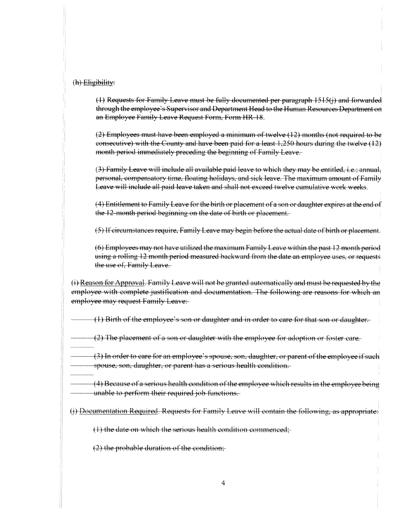# (h) Eligibility:

 $(1)$  Requests for Family Leave must be fully documented per paragraph  $1515(j)$  and forwarded through the employee's Supervisor and Department Head to the Human Resources Department on an Employee Family Leave Request Form, Form HR 18.

(2) Employees must have been employed <sup>a</sup> minimum of twelve (12) months (not required to be consecutive) with the County and have been paid for <sup>a</sup> least 1,250 hours during the twelve (12) month period immediately preceding the beginning of Family Leave.

(3) Family Leave will include all available paid leave to which they may be entitled, i.e.; annual personal, compensatory time, floating holidays, and sick leave. The maximum amount of Family Leave will include all paid leave taken and shall not exceed twelve cumulative work weeks.

(4) Entitlement to Family Leave for the birth or placement of <sup>a</sup> son or daughter expires at the end of the 12-month period beginning on the date of birth or placement.

(5) If circumstances require. Family Leave may begin before the actual date of birth or placement.

(6) Employees may not have utilized the maximum Family Leave within the pas<sup>t</sup> 12 month period using a rolling 12 month period measured backward from the date an employee uses, or requests the use of, Family Leave.

 $(i)$  Reason for Approval. Family Leave will not be granted automatically and must be requested by the employee with complete justification and documentation. The following are reasons for which an employee may reques<sup>t</sup> Family Leave:

(1) Birth of the employee's son or daughter and in order to care for that son or daughter.

(2) The placement of <sup>a</sup> son or daughter with the employee for adoption or foster care.

(3) In order to care for an employee's spouse, son, daughter. or paren<sup>t</sup> ofthe employee ifsuch spouse. son. daughter, or paren<sup>t</sup> has <sup>a</sup> serious health condition.

 $(4)$  Because of a serious health condition of the employee which results in the employee being unable to perform their required job functions.

 $(i)$  Documentation Required. Requests for Family Leave will contain the following, as appropriate:

 $(1)$  the date on which the serious health condition commenced:

 $(2)$  the probable duration of the condition;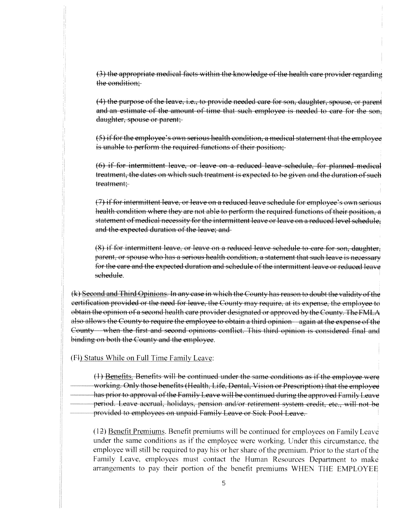(3) the appropriate medical facts within the knowledge of the health care provider regarding the condition;

(4) the purpose of the leave, i.e., to provide needed care for son, daughter, spouse, or parent and an estimate of the amount of time that such employee is needed to care for the son, daughter, spouse or parent:

(5) if for the employee's own serious health condition, a medical statement that the employee is unable to perform the required functions of their position;

(6) if for intermittent leave, or leave on <sup>a</sup> reduced leave schedule, for <sup>p</sup>lanned medical treatment, the dates on which such treatment is expected to be given and the duration of such treatment;

(7) if for intermittent leave, or leave on a reduced leave schedule for employee's own serious health condition where they are not able to perform the required functions of their position, a statement of medical necessity for the intermittent leave or leave on a reduced level schedule; and the expected duration of the leave: and

 $(8)$  if for intermittent leave, or leave on a reduced leave schedule to care for son, daughter, parent, or spouse who has a serious health condition, a statement that such leave is necessary for the care and the expected duration and schedule of the intermittent leave or reduced leave schedule.

(k) Second and Third Opinions. In any case in which the County has reason to doubt the validity ofthe eertification provided or the need for leave, the County may require, at its expense, the employee to obtain the opinion of <sup>a</sup> second health care provider designated or approve<sup>d</sup> by the County. The FMLA also allows the County to require the employee to obtain a third opinion again at the expense of the County when the first and second opinions conflict. This third opinion is considered final and binding on both the County and the employee.

(fl) Status While on Full Time Family Leave:

provided to employees on unpaid Family Leave or Sick Pool Leave. (1) Benefits. Benefits will be continued under the same conditions as if the employee were — working. Only those benefits (Health. Life. Dental. Vision or Prescription) that the employee has prior to approval of the Family Leave will be continued during the approved Family Leave period. Leave accrual, holidays, pension and/or retirement system credit, etc., will not be

 $(12)$  Benefit Premiums. Benefit premiums will be continued for employees on Family Leave under the same conditions as if the employee were working. Under this circumstance, the employee will still be required to pay his or her share of the premium. Prior to the start of the Family Leave, employees must contact the Human Resources Department to make arrangements to pay their portion of the benefit premiums WHEN THE EMPLOYEE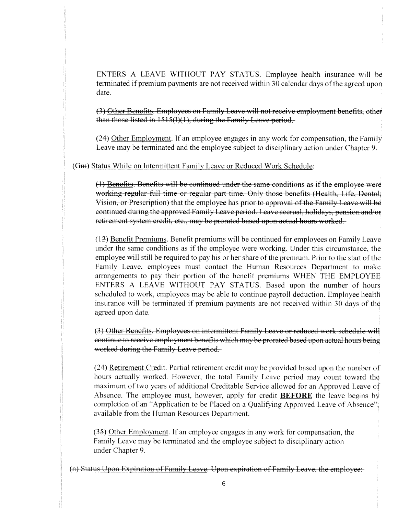ENTERS A LEAVE WITHOUT PAY STATUS. Employee health insurance will be terminated if premium payments are not received within 30 calendar days of the agreed upon date.

(3) Other Benefits. Employees on Family Leave will not receive employment benefits, other than those listed in  $1515(1)(1)$ , during the Family Leave period.

(24) Other Employment. If an employee engages in any work for compensation, the Family Leave may be terminated and the employee subject to disciplinary action under Chapter 9.

(Gm) Status While on Intermittent Family Leave or Reduced Work Schedule:

(1) Benefits. Benefits will be continued under the same conditions as if the employee were working regular full time or regular part time. Only those benefits (Health, Life, Dental, Vision, or Prescription) that the employee has prior to approval of the Family Leave will be continued during the approved Family Leave period. Leave accrual, holidays, pension and/or retirement system credit, etc., may be prorated based upon actual hours worked.

(12) Benefit Premiums. Benefit premiums will be continued for employees on Family Leave under the same conditions as if the employee were working. Under this circumstance, the employee will still be required to pay his or her share of the premium. Prior to the start of the Family Leave, employees must contact the Human Resources Department to make arrangements to pay their portion of the benefit premiums WHEN THE EMPLOYEE ENTERS A LEAVE WITHOUT PAY STATUS. Based upon the number of hours scheduled to work, employees may be able to continue payroll deduction. Employee health insurance will be terminated if premium payments are not received within 30 days of the agreed upon date.

(3) Other Benefits. Employees on intermittent Family' Leave or reduced work schedule will continue to receive employment benefits which may' be prorated based upon actual hours being worked during the Family Leave period.

(24) Retirement Credit. Partial retirement credit may be provided based upon the number of hours actually worked. However, the total Family Leave period may count toward the maximum of two years of additional Creditable Service allowed for an Approved Leave of Absence. The employee must, however, apply for credit **BEFORE** the leave begins by completion of an "Application to be Placed on a Qualifying Approved Leave of Absence". available from the Human Resources Department.

(35) Other Emploment. If an employee engages in any work for compensation. the Family Leave may be terminated and the employee subject to disciplinary action under Chapter 9.

(n) Status Upon Expiration of Family Leave. Upon expiration of Family Leave, the employee: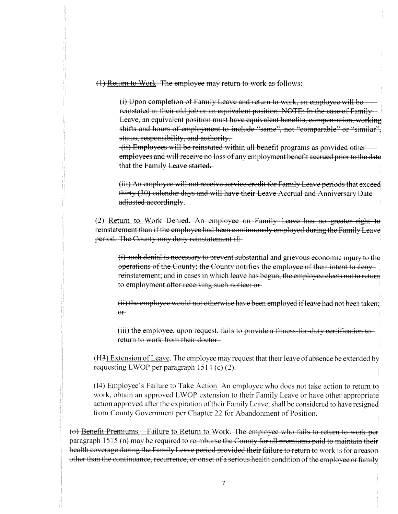(1) Return to Work. The employee may return to work as follows:

(i) Upon completion of Family Leave and return to work, an employee will be reinstated in their old job or an equivalent position. NOTE: In the case of Family— Leave, an equivalent position must have equivalent benefits, compensation, working shifts and hours of employment to include "same", not "comparable" or "similar". status, responsibility, and authority.

(ii) Employees will be reinstated within all benefit programs as provided other employees and will receive no loss of any employment benefit accrued prior to the date that the Family Leave started.

(iii) An employee will not receive service credit for Family Leave periods that exceed thirty (30) calendar days and will have their Leave Accrual and Anniversary Date adjusted accordingly.

(Z2) Return to Work Denied, An employee on Family Leave has no greater right to reinstatement than if the employee had been continuously employed during the Family Leave period. The County may deny reinstatement if:

(i) such denial is necessary to preven<sup>t</sup> substantial and grievous economic injury to the operations of the County; the County notifies the employee of their intent to deny reinstatement: and in cases in which leave has begun. the employee elects not to return to employment after receiving such notice; or

(ii) the employee would not otherwise have been employed if leave had not been taken;  $\theta$ <sup>r</sup>

 $(\mathsf{iii})$  the employee, upon request, fails to provide a fitness-for-duty certification to return to work from their doctor.

(H3) Extension of Leave. The employee may request that their leave of absence be extended by requesting LWOP per paragraph 1514 (c) (2).

(14) Employee's Failure to Take Action. An employee who does not take action to return to work. obtain an approve<sup>d</sup> LWOP extension to their Family Leave or have other appropriate action approved after the expiration of their Family Leave, shall be considered to have resigned from County Government per Chapter <sup>22</sup> for Abandonment of Position.

(o) Benefit Premiums—Failure to Return to Work. The employee who fails to return to work per paragraph 1515 (n) may be required to reimburse the County for all premiums paid to maintain their health coverage during the Family Leave period provided their failure to return to work is for a reason other than the continuance, recurrence, or onset of a serious health condition of the employee or family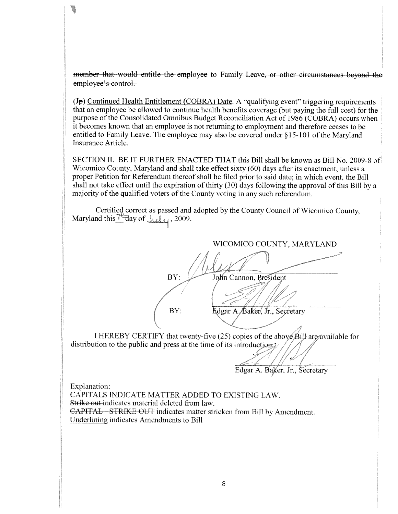member that would entitle the employee to Family Leave, or other circumstances beyond the employee's control.

 $(J<sub>p</sub>)$  Continued Health Entitlement (COBRA) Date. A "qualifying event" triggering requirements that an employee be allowed to continue health benefits coverage (but paying the full cost) for the purpose of the Consolidated Omnibus Budget Reconciliation Act of 1986 (COBRA) occurs when it becomes known that an employee is not returning to employment and therefore ceases to be entitled to Family Leave. The employee may also be covered under §15-101 of the Maryland Insurance Article.

SECTION II. BE IT FURTHER ENACTED THAT this Bill shall be known as Bill No. 2009-8 of Wicomico County, Maryland and shall take effect sixty (60) days after its enactment, unless <sup>a</sup> proper Petition for Referendum thereof shall be filed prior to said date: in which event, the Bill shall not take effect until the expiration of thirty (30) days following the approva<sup>l</sup> of this Bill by <sup>a</sup> majority of the qualified voters of the County voting in any such referendum.

Certified correct as passed and adopted by the County Council of Wicomico County, Maryland this  $\frac{1}{4}$  day of  $\frac{1}{4}$ , 2009.

WICOMICO COUNTY, MARYLAND -Th BY: John Cannon, President BY: Redgar A. Baker, Jr., Secretary

I HEREBY CERTIFY that twenty-five (25) copies of the above  $\beta$ ill are available for distribution to the public and press at the time of its introduction.

Edgar A. Baker. Jr.. Secretary

Explanation: CAPITALS INDICATE MATTER ADDED TO EXISTING LAW. Strike out indicates material deleted from law. CAPITAL - STRIKE-OUT indicates matter stricken from Bill by Amendment. Underlining indicates Amendments to Bill